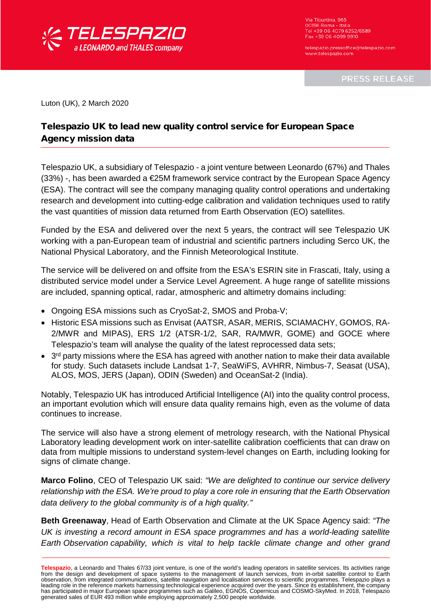

Via Tiburtina, 965 00156 Roma - Italia<br>Tel +39 06 4079.6252/6589 Fax +39 06 4099 9910

telespazio pressoffice@telespazio.com www.telespazio.com

**PRESS RELEASE** 

Luton (UK), 2 March 2020

## Telespazio UK to lead new quality control service for European Space Agency mission data

Telespazio UK, a subsidiary of Telespazio - a joint venture between Leonardo (67%) and Thales  $(33%)$  -, has been awarded a  $\epsilon$ 25M framework service contract by the European Space Agency (ESA). The contract will see the company managing quality control operations and undertaking research and development into cutting-edge calibration and validation techniques used to ratify the vast quantities of mission data returned from Earth Observation (EO) satellites.

Funded by the ESA and delivered over the next 5 years, the contract will see Telespazio UK working with a pan-European team of industrial and scientific partners including Serco UK, the National Physical Laboratory, and the Finnish Meteorological Institute.

The service will be delivered on and offsite from the ESA's ESRIN site in Frascati, Italy, using a distributed service model under a Service Level Agreement. A huge range of satellite missions are included, spanning optical, radar, atmospheric and altimetry domains including:

- Ongoing ESA missions such as CryoSat-2, SMOS and Proba-V;
- Historic ESA missions such as Envisat (AATSR, ASAR, MERIS, SCIAMACHY, GOMOS, RA-2/MWR and MIPAS), ERS 1/2 (ATSR-1/2, SAR, RA/MWR, GOME) and GOCE where Telespazio's team will analyse the quality of the latest reprocessed data sets;
- 3<sup>rd</sup> party missions where the ESA has agreed with another nation to make their data available for study. Such datasets include Landsat 1-7, SeaWiFS, AVHRR, Nimbus-7, Seasat (USA), ALOS, MOS, JERS (Japan), ODIN (Sweden) and OceanSat-2 (India).

Notably, Telespazio UK has introduced Artificial Intelligence (AI) into the quality control process, an important evolution which will ensure data quality remains high, even as the volume of data continues to increase.

The service will also have a strong element of metrology research, with the National Physical Laboratory leading development work on inter-satellite calibration coefficients that can draw on data from multiple missions to understand system-level changes on Earth, including looking for signs of climate change.

**Marco Folino**, CEO of Telespazio UK said: *"We are delighted to continue our service delivery relationship with the ESA. We're proud to play a core role in ensuring that the Earth Observation data delivery to the global community is of a high quality."*

**Beth Greenaway**, Head of Earth Observation and Climate at the UK Space Agency said: *"The UK is investing a record amount in ESA space programmes and has a world-leading satellite Earth Observation capability, which is vital to help tackle climate change and other grand* 

Telespazio, a Leonardo and Thales 67/33 joint venture, is one of the world's leading operators in satellite services. Its activities range<br>from the design and development of space systems to the management of launch servic leading role in the reference markets harnessing technological experience acquired over the years. Since its establishment, the company has participated in major European space programmes such as Galileo, EGNOS, Copernicus and COSMO-SkyMed. In 2018, Telespazio generated sales of EUR 493 million while employing approximately 2,500 people worldwide.